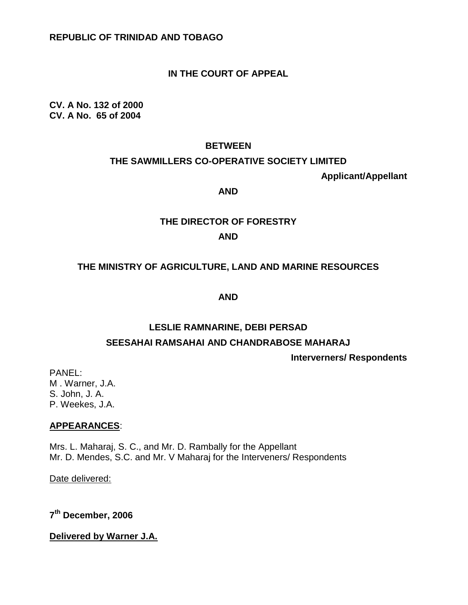# **IN THE COURT OF APPEAL**

**CV. A No. 132 of 2000 CV. A No. 65 of 2004**

#### **BETWEEN**

#### **THE SAWMILLERS CO-OPERATIVE SOCIETY LIMITED**

**Applicant/Appellant**

#### **AND**

# **THE DIRECTOR OF FORESTRY AND**

# **THE MINISTRY OF AGRICULTURE, LAND AND MARINE RESOURCES**

**AND**

# **LESLIE RAMNARINE, DEBI PERSAD SEESAHAI RAMSAHAI AND CHANDRABOSE MAHARAJ**

**Interverners/ Respondents**

PANEL: M . Warner, J.A. S. John, J. A. P. Weekes, J.A.

#### **APPEARANCES**:

Mrs. L. Maharaj, S. C., and Mr. D. Rambally for the Appellant Mr. D. Mendes, S.C. and Mr. V Maharaj for the Interveners/ Respondents

Date delivered:

**7 th December, 2006**

**Delivered by Warner J.A.**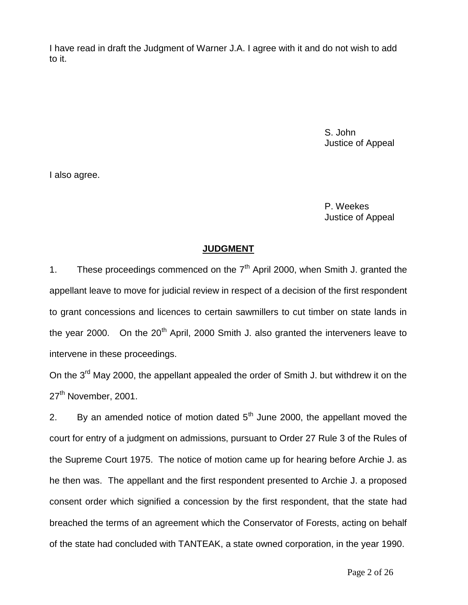I have read in draft the Judgment of Warner J.A. I agree with it and do not wish to add to it.

> S. John Justice of Appeal

I also agree.

 P. Weekes Justice of Appeal

# **JUDGMENT**

1. These proceedings commenced on the  $7<sup>th</sup>$  April 2000, when Smith J. granted the appellant leave to move for judicial review in respect of a decision of the first respondent to grant concessions and licences to certain sawmillers to cut timber on state lands in the year 2000. On the  $20<sup>th</sup>$  April, 2000 Smith J. also granted the interveners leave to intervene in these proceedings.

On the 3<sup>rd</sup> May 2000, the appellant appealed the order of Smith J. but withdrew it on the 27<sup>th</sup> November, 2001.

2. By an amended notice of motion dated  $5<sup>th</sup>$  June 2000, the appellant moved the court for entry of a judgment on admissions, pursuant to Order 27 Rule 3 of the Rules of the Supreme Court 1975. The notice of motion came up for hearing before Archie J. as he then was. The appellant and the first respondent presented to Archie J. a proposed consent order which signified a concession by the first respondent, that the state had breached the terms of an agreement which the Conservator of Forests, acting on behalf of the state had concluded with TANTEAK, a state owned corporation, in the year 1990.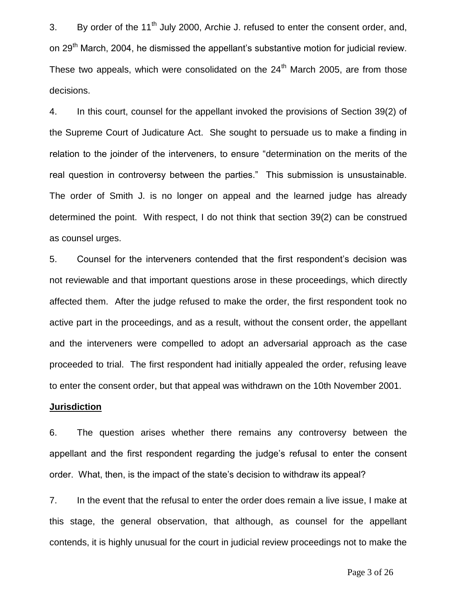3. By order of the  $11<sup>th</sup>$  July 2000, Archie J. refused to enter the consent order, and, on 29<sup>th</sup> March, 2004, he dismissed the appellant's substantive motion for judicial review. These two appeals, which were consolidated on the  $24<sup>th</sup>$  March 2005, are from those decisions.

3. 4. In this court, counsel for the appellant invoked the provisions of Section 39(2) of the Supreme Court of Judicature Act. She sought to persuade us to make a finding in relation to the joinder of the interveners, to ensure "determination on the merits of the real question in controversy between the parties." This submission is unsustainable. The order of Smith J. is no longer on appeal and the learned judge has already determined the point. With respect, I do not think that section 39(2) can be construed as counsel urges.

5. Counsel for the interveners contended that the first respondent's decision was not reviewable and that important questions arose in these proceedings, which directly affected them. After the judge refused to make the order, the first respondent took no active part in the proceedings, and as a result, without the consent order, the appellant and the interveners were compelled to adopt an adversarial approach as the case proceeded to trial. The first respondent had initially appealed the order, refusing leave to enter the consent order, but that appeal was withdrawn on the 10th November 2001.

#### **Jurisdiction**

6. The question arises whether there remains any controversy between the appellant and the first respondent regarding the judge's refusal to enter the consent order. What, then, is the impact of the state's decision to withdraw its appeal?

7. In the event that the refusal to enter the order does remain a live issue, I make at this stage, the general observation, that although, as counsel for the appellant contends, it is highly unusual for the court in judicial review proceedings not to make the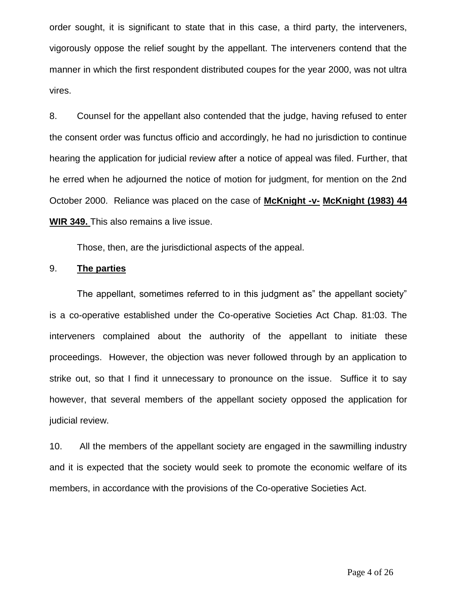order sought, it is significant to state that in this case, a third party, the interveners, vigorously oppose the relief sought by the appellant. The interveners contend that the manner in which the first respondent distributed coupes for the year 2000, was not ultra vires.

8. Counsel for the appellant also contended that the judge, having refused to enter the consent order was functus officio and accordingly, he had no jurisdiction to continue hearing the application for judicial review after a notice of appeal was filed. Further, that he erred when he adjourned the notice of motion for judgment, for mention on the 2nd October 2000. Reliance was placed on the case of **McKnight -v- McKnight (1983) 44 WIR 349.** This also remains a live issue.

Those, then, are the jurisdictional aspects of the appeal.

#### 9. **The parties**

The appellant, sometimes referred to in this judgment as" the appellant society" is a co-operative established under the Co-operative Societies Act Chap. 81:03. The interveners complained about the authority of the appellant to initiate these proceedings. However, the objection was never followed through by an application to strike out, so that I find it unnecessary to pronounce on the issue. Suffice it to say however, that several members of the appellant society opposed the application for judicial review.

10. All the members of the appellant society are engaged in the sawmilling industry and it is expected that the society would seek to promote the economic welfare of its members, in accordance with the provisions of the Co-operative Societies Act.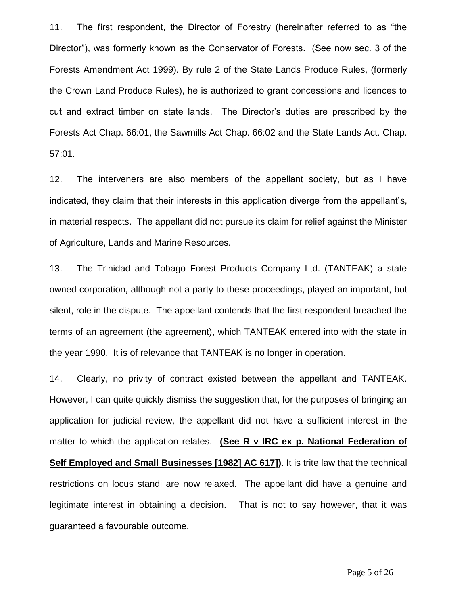11. The first respondent, the Director of Forestry (hereinafter referred to as "the Director"), was formerly known as the Conservator of Forests. (See now sec. 3 of the Forests Amendment Act 1999). By rule 2 of the State Lands Produce Rules, (formerly the Crown Land Produce Rules), he is authorized to grant concessions and licences to cut and extract timber on state lands. The Director's duties are prescribed by the Forests Act Chap. 66:01, the Sawmills Act Chap. 66:02 and the State Lands Act. Chap. 57:01.

12. The interveners are also members of the appellant society, but as I have indicated, they claim that their interests in this application diverge from the appellant's, in material respects. The appellant did not pursue its claim for relief against the Minister of Agriculture, Lands and Marine Resources.

13. The Trinidad and Tobago Forest Products Company Ltd. (TANTEAK) a state owned corporation, although not a party to these proceedings, played an important, but silent, role in the dispute. The appellant contends that the first respondent breached the terms of an agreement (the agreement), which TANTEAK entered into with the state in the year 1990. It is of relevance that TANTEAK is no longer in operation.

14. Clearly, no privity of contract existed between the appellant and TANTEAK. However, I can quite quickly dismiss the suggestion that, for the purposes of bringing an application for judicial review, the appellant did not have a sufficient interest in the matter to which the application relates. **(See R v IRC ex p. National Federation of Self Employed and Small Businesses [1982] AC 617])**. It is trite law that the technical restrictions on locus standi are now relaxed. The appellant did have a genuine and legitimate interest in obtaining a decision. That is not to say however, that it was guaranteed a favourable outcome.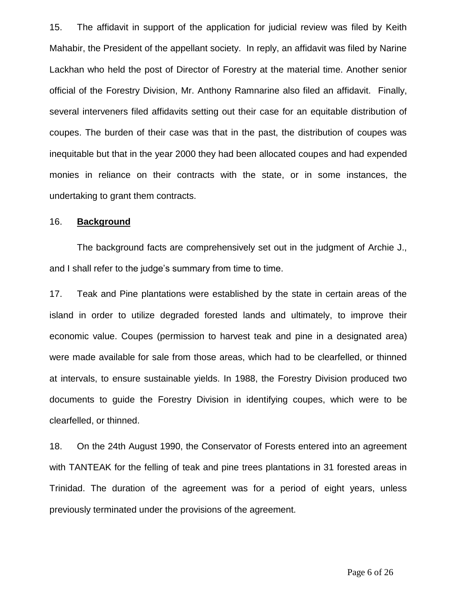15. The affidavit in support of the application for judicial review was filed by Keith Mahabir, the President of the appellant society. In reply, an affidavit was filed by Narine Lackhan who held the post of Director of Forestry at the material time. Another senior official of the Forestry Division, Mr. Anthony Ramnarine also filed an affidavit. Finally, several interveners filed affidavits setting out their case for an equitable distribution of coupes. The burden of their case was that in the past, the distribution of coupes was inequitable but that in the year 2000 they had been allocated coupes and had expended monies in reliance on their contracts with the state, or in some instances, the undertaking to grant them contracts.

#### 16. **Background**

The background facts are comprehensively set out in the judgment of Archie J., and I shall refer to the judge's summary from time to time.

17. Teak and Pine plantations were established by the state in certain areas of the island in order to utilize degraded forested lands and ultimately, to improve their economic value. Coupes (permission to harvest teak and pine in a designated area) were made available for sale from those areas, which had to be clearfelled, or thinned at intervals, to ensure sustainable yields. In 1988, the Forestry Division produced two documents to guide the Forestry Division in identifying coupes, which were to be clearfelled, or thinned.

18. On the 24th August 1990, the Conservator of Forests entered into an agreement with TANTEAK for the felling of teak and pine trees plantations in 31 forested areas in Trinidad. The duration of the agreement was for a period of eight years, unless previously terminated under the provisions of the agreement.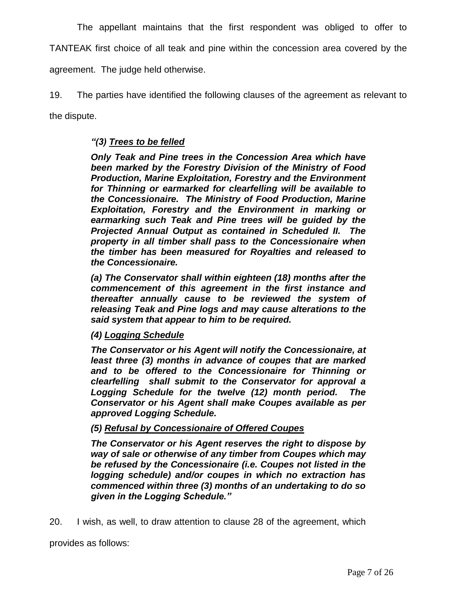The appellant maintains that the first respondent was obliged to offer to TANTEAK first choice of all teak and pine within the concession area covered by the agreement. The judge held otherwise.

19. The parties have identified the following clauses of the agreement as relevant to the dispute.

# *"(3) Trees to be felled*

*Only Teak and Pine trees in the Concession Area which have been marked by the Forestry Division of the Ministry of Food Production, Marine Exploitation, Forestry and the Environment for Thinning or earmarked for clearfelling will be available to the Concessionaire. The Ministry of Food Production, Marine Exploitation, Forestry and the Environment in marking or earmarking such Teak and Pine trees will be guided by the Projected Annual Output as contained in Scheduled II. The property in all timber shall pass to the Concessionaire when the timber has been measured for Royalties and released to the Concessionaire.*

*(a) The Conservator shall within eighteen (18) months after the commencement of this agreement in the first instance and thereafter annually cause to be reviewed the system of releasing Teak and Pine logs and may cause alterations to the said system that appear to him to be required.*

# *(4) Logging Schedule*

*The Conservator or his Agent will notify the Concessionaire, at least three (3) months in advance of coupes that are marked and to be offered to the Concessionaire for Thinning or clearfelling shall submit to the Conservator for approval a Logging Schedule for the twelve (12) month period. The Conservator or his Agent shall make Coupes available as per approved Logging Schedule.*

# *(5) Refusal by Concessionaire of Offered Coupes*

*The Conservator or his Agent reserves the right to dispose by way of sale or otherwise of any timber from Coupes which may be refused by the Concessionaire (i.e. Coupes not listed in the logging schedule) and/or coupes in which no extraction has commenced within three (3) months of an undertaking to do so given in the Logging Schedule."*

20. I wish, as well, to draw attention to clause 28 of the agreement, which

provides as follows: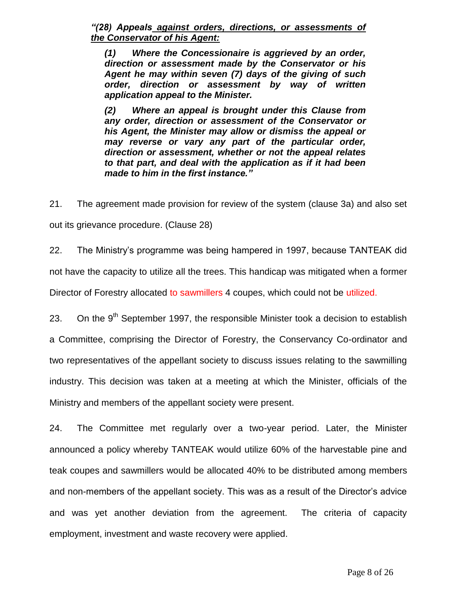*"(28) Appeals against orders, directions, or assessments of the Conservator of his Agent:*

*(1) Where the Concessionaire is aggrieved by an order, direction or assessment made by the Conservator or his Agent he may within seven (7) days of the giving of such order, direction or assessment by way of written application appeal to the Minister.*

*(2) Where an appeal is brought under this Clause from any order, direction or assessment of the Conservator or his Agent, the Minister may allow or dismiss the appeal or may reverse or vary any part of the particular order, direction or assessment, whether or not the appeal relates to that part, and deal with the application as if it had been made to him in the first instance."*

21. The agreement made provision for review of the system (clause 3a) and also set out its grievance procedure. (Clause 28)

22. The Ministry's programme was being hampered in 1997, because TANTEAK did not have the capacity to utilize all the trees. This handicap was mitigated when a former Director of Forestry allocated to sawmillers 4 coupes, which could not be utilized.

23. On the  $9<sup>th</sup>$  September 1997, the responsible Minister took a decision to establish a Committee, comprising the Director of Forestry, the Conservancy Co-ordinator and two representatives of the appellant society to discuss issues relating to the sawmilling industry. This decision was taken at a meeting at which the Minister, officials of the Ministry and members of the appellant society were present.

24. The Committee met regularly over a two-year period. Later, the Minister announced a policy whereby TANTEAK would utilize 60% of the harvestable pine and teak coupes and sawmillers would be allocated 40% to be distributed among members and non-members of the appellant society. This was as a result of the Director's advice and was yet another deviation from the agreement. The criteria of capacity employment, investment and waste recovery were applied.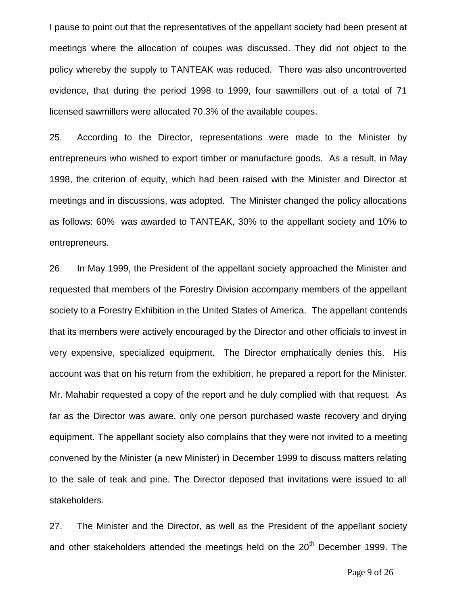I pause to point out that the representatives of the appellant society had been present at meetings where the allocation of coupes was discussed. They did not object to the policy whereby the supply to TANTEAK was reduced. There was also uncontroverted evidence, that during the period 1998 to 1999, four sawmillers out of a total of 71 licensed sawmillers were allocated 70.3% of the available coupes.

25. According to the Director, representations were made to the Minister by entrepreneurs who wished to export timber or manufacture goods. As a result, in May 1998, the criterion of equity, which had been raised with the Minister and Director at meetings and in discussions, was adopted. The Minister changed the policy allocations as follows: 60% was awarded to TANTEAK, 30% to the appellant society and 10% to entrepreneurs.

26. In May 1999, the President of the appellant society approached the Minister and requested that members of the Forestry Division accompany members of the appellant society to a Forestry Exhibition in the United States of America. The appellant contends that its members were actively encouraged by the Director and other officials to invest in very expensive, specialized equipment. The Director emphatically denies this. His account was that on his return from the exhibition, he prepared a report for the Minister. Mr. Mahabir requested a copy of the report and he duly complied with that request. As far as the Director was aware, only one person purchased waste recovery and drying equipment. The appellant society also complains that they were not invited to a meeting convened by the Minister (a new Minister) in December 1999 to discuss matters relating to the sale of teak and pine. The Director deposed that invitations were issued to all stakeholders.

27. The Minister and the Director, as well as the President of the appellant society and other stakeholders attended the meetings held on the  $20<sup>th</sup>$  December 1999. The

Page 9 of 26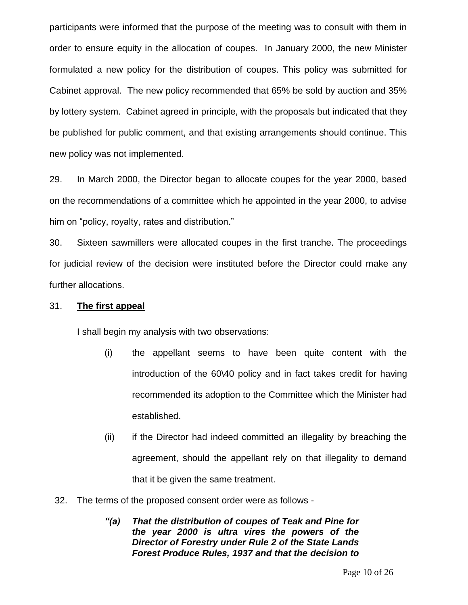participants were informed that the purpose of the meeting was to consult with them in order to ensure equity in the allocation of coupes. In January 2000, the new Minister formulated a new policy for the distribution of coupes. This policy was submitted for Cabinet approval. The new policy recommended that 65% be sold by auction and 35% by lottery system. Cabinet agreed in principle, with the proposals but indicated that they be published for public comment, and that existing arrangements should continue. This new policy was not implemented.

29. In March 2000, the Director began to allocate coupes for the year 2000, based on the recommendations of a committee which he appointed in the year 2000, to advise him on "policy, royalty, rates and distribution."

30. Sixteen sawmillers were allocated coupes in the first tranche. The proceedings for judicial review of the decision were instituted before the Director could make any further allocations.

#### 31. **The first appeal**

I shall begin my analysis with two observations:

- (i) the appellant seems to have been quite content with the introduction of the 60\40 policy and in fact takes credit for having recommended its adoption to the Committee which the Minister had established.
- (ii) if the Director had indeed committed an illegality by breaching the agreement, should the appellant rely on that illegality to demand that it be given the same treatment.
- 32. The terms of the proposed consent order were as follows
	- *"(a) That the distribution of coupes of Teak and Pine for the year 2000 is ultra vires the powers of the Director of Forestry under Rule 2 of the State Lands Forest Produce Rules, 1937 and that the decision to*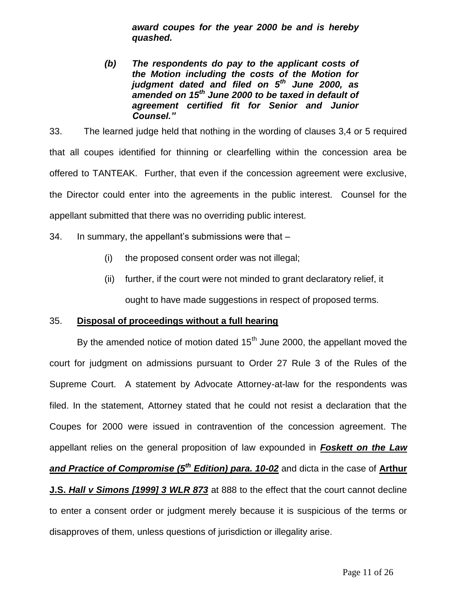*award coupes for the year 2000 be and is hereby quashed.*

*(b) The respondents do pay to the applicant costs of the Motion including the costs of the Motion for judgment dated and filed on 5th June 2000, as amended on 15th June 2000 to be taxed in default of agreement certified fit for Senior and Junior Counsel."*

33. The learned judge held that nothing in the wording of clauses 3,4 or 5 required that all coupes identified for thinning or clearfelling within the concession area be offered to TANTEAK. Further, that even if the concession agreement were exclusive, the Director could enter into the agreements in the public interest. Counsel for the appellant submitted that there was no overriding public interest.

- 34. In summary, the appellant's submissions were that
	- (i) the proposed consent order was not illegal;
	- (ii) further, if the court were not minded to grant declaratory relief, it ought to have made suggestions in respect of proposed terms.

#### 35. **Disposal of proceedings without a full hearing**

By the amended notice of motion dated  $15<sup>th</sup>$  June 2000, the appellant moved the court for judgment on admissions pursuant to Order 27 Rule 3 of the Rules of the Supreme Court. A statement by Advocate Attorney-at-law for the respondents was filed. In the statement, Attorney stated that he could not resist a declaration that the Coupes for 2000 were issued in contravention of the concession agreement. The appellant relies on the general proposition of law expounded in *Foskett on the Law and Practice of Compromise (5th Edition) para. 10-02* and dicta in the case of **Arthur J.S.** *Hall v Simons [1999] 3 WLR 873* at 888 to the effect that the court cannot decline to enter a consent order or judgment merely because it is suspicious of the terms or disapproves of them, unless questions of jurisdiction or illegality arise.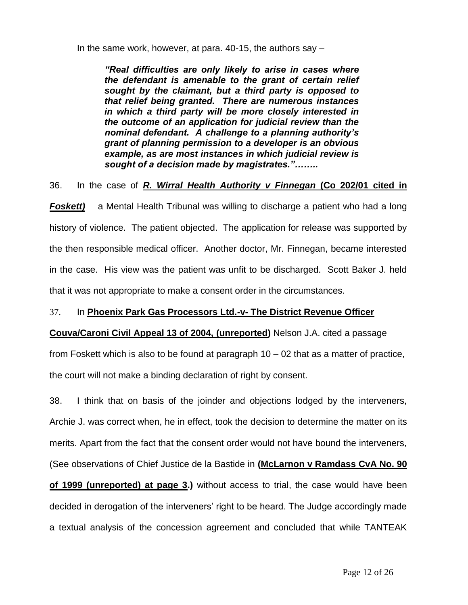In the same work, however, at para.  $40-15$ , the authors say  $-$ 

*"Real difficulties are only likely to arise in cases where the defendant is amenable to the grant of certain relief sought by the claimant, but a third party is opposed to that relief being granted. There are numerous instances in which a third party will be more closely interested in the outcome of an application for judicial review than the nominal defendant. A challenge to a planning authority's grant of planning permission to a developer is an obvious example, as are most instances in which judicial review is sought of a decision made by magistrates."……..*

36. In the case of *R. Wirral Health Authority v Finnegan* **(Co 202/01 cited in** 

**Foskett)** a Mental Health Tribunal was willing to discharge a patient who had a long history of violence. The patient objected. The application for release was supported by the then responsible medical officer. Another doctor, Mr. Finnegan, became interested in the case. His view was the patient was unfit to be discharged. Scott Baker J. held that it was not appropriate to make a consent order in the circumstances.

# 37. In **Phoenix Park Gas Processors Ltd.-v- The District Revenue Officer**

#### **Couva/Caroni Civil Appeal 13 of 2004, (unreported)** Nelson J.A. cited a passage

from Foskett which is also to be found at paragraph 10 – 02 that as a matter of practice, the court will not make a binding declaration of right by consent.

38. I think that on basis of the joinder and objections lodged by the interveners, Archie J. was correct when, he in effect, took the decision to determine the matter on its merits. Apart from the fact that the consent order would not have bound the interveners,

(See observations of Chief Justice de la Bastide in **(McLarnon v Ramdass CvA No. 90** 

**of 1999 (unreported) at page 3.)** without access to trial, the case would have been decided in derogation of the interveners' right to be heard. The Judge accordingly made a textual analysis of the concession agreement and concluded that while TANTEAK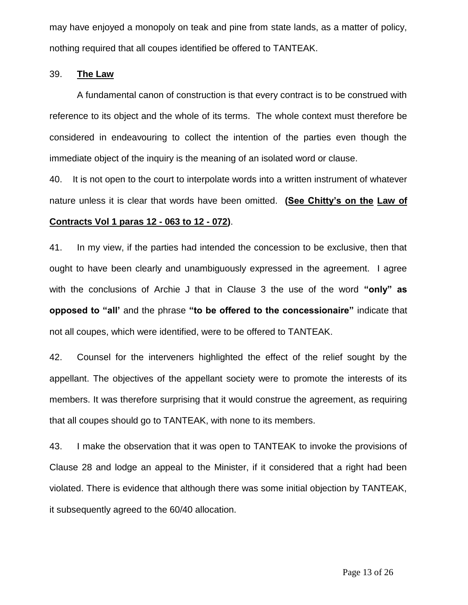may have enjoyed a monopoly on teak and pine from state lands, as a matter of policy, nothing required that all coupes identified be offered to TANTEAK.

#### 39. **The Law**

A fundamental canon of construction is that every contract is to be construed with reference to its object and the whole of its terms. The whole context must therefore be considered in endeavouring to collect the intention of the parties even though the immediate object of the inquiry is the meaning of an isolated word or clause.

40. It is not open to the court to interpolate words into a written instrument of whatever nature unless it is clear that words have been omitted. **(See Chitty's on the Law of Contracts Vol 1 paras 12 - 063 to 12 - 072)**.

41. In my view, if the parties had intended the concession to be exclusive, then that ought to have been clearly and unambiguously expressed in the agreement. I agree with the conclusions of Archie J that in Clause 3 the use of the word **"only" as opposed to "all'** and the phrase **"to be offered to the concessionaire"** indicate that not all coupes, which were identified, were to be offered to TANTEAK.

42. Counsel for the interveners highlighted the effect of the relief sought by the appellant. The objectives of the appellant society were to promote the interests of its members. It was therefore surprising that it would construe the agreement, as requiring that all coupes should go to TANTEAK, with none to its members.

43. I make the observation that it was open to TANTEAK to invoke the provisions of Clause 28 and lodge an appeal to the Minister, if it considered that a right had been violated. There is evidence that although there was some initial objection by TANTEAK, it subsequently agreed to the 60/40 allocation.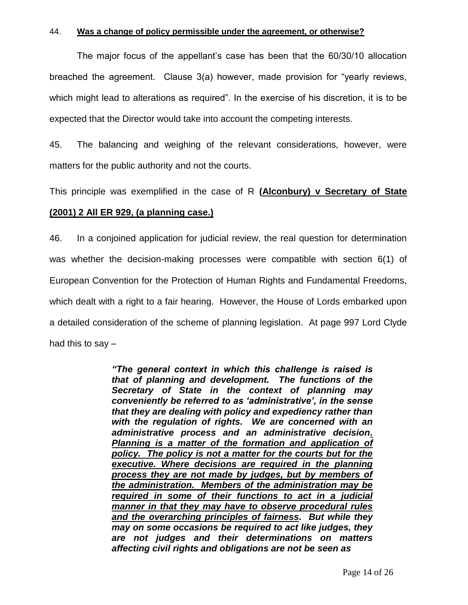#### 44. **Was a change of policy permissible under the agreement, or otherwise?**

The major focus of the appellant's case has been that the 60/30/10 allocation breached the agreement. Clause 3(a) however, made provision for "yearly reviews, which might lead to alterations as required". In the exercise of his discretion, it is to be expected that the Director would take into account the competing interests.

45. The balancing and weighing of the relevant considerations, however, were matters for the public authority and not the courts.

This principle was exemplified in the case of R **(Alconbury) v Secretary of State** 

#### **(2001) 2 All ER 929, (a planning case.)**

46. In a conjoined application for judicial review, the real question for determination was whether the decision-making processes were compatible with section 6(1) of European Convention for the Protection of Human Rights and Fundamental Freedoms, which dealt with a right to a fair hearing. However, the House of Lords embarked upon a detailed consideration of the scheme of planning legislation. At page 997 Lord Clyde had this to say –

> *"The general context in which this challenge is raised is that of planning and development. The functions of the Secretary of State in the context of planning may conveniently be referred to as 'administrative', in the sense that they are dealing with policy and expediency rather than with the regulation of rights. We are concerned with an administrative process and an administrative decision. Planning is a matter of the formation and application of policy. The policy is not a matter for the courts but for the executive. Where decisions are required in the planning process they are not made by judges, but by members of the administration. Members of the administration may be required in some of their functions to act in a judicial manner in that they may have to observe procedural rules and the overarching principles of fairness. But while they may on some occasions be required to act like judges, they are not judges and their determinations on matters affecting civil rights and obligations are not be seen as*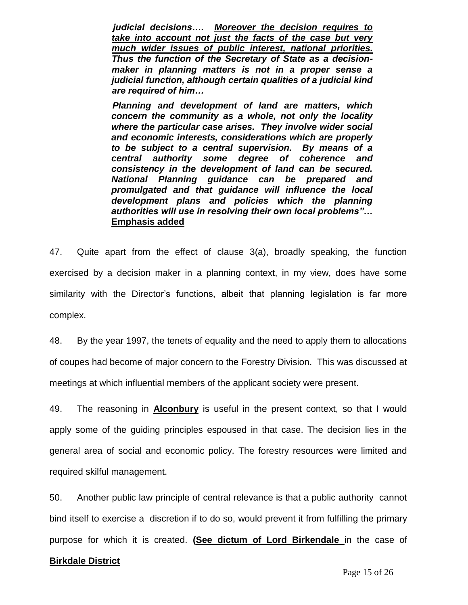*judicial decisions…. Moreover the decision requires to take into account not just the facts of the case but very much wider issues of public interest, national priorities. Thus the function of the Secretary of State as a decisionmaker in planning matters is not in a proper sense a judicial function, although certain qualities of a judicial kind are required of him…*

 *Planning and development of land are matters, which concern the community as a whole, not only the locality where the particular case arises. They involve wider social and economic interests, considerations which are properly to be subject to a central supervision. By means of a central authority some degree of coherence and consistency in the development of land can be secured. National Planning guidance can be prepared and promulgated and that guidance will influence the local development plans and policies which the planning authorities will use in resolving their own local problems"…* **Emphasis added**

47. Quite apart from the effect of clause 3(a), broadly speaking, the function exercised by a decision maker in a planning context, in my view, does have some similarity with the Director's functions, albeit that planning legislation is far more complex.

48. By the year 1997, the tenets of equality and the need to apply them to allocations of coupes had become of major concern to the Forestry Division. This was discussed at meetings at which influential members of the applicant society were present.

49. The reasoning in **Alconbury** is useful in the present context, so that I would apply some of the guiding principles espoused in that case. The decision lies in the general area of social and economic policy. The forestry resources were limited and required skilful management.

50. Another public law principle of central relevance is that a public authority cannot bind itself to exercise a discretion if to do so, would prevent it from fulfilling the primary purpose for which it is created. **(See dictum of Lord Birkendale** in the case of

#### **Birkdale District**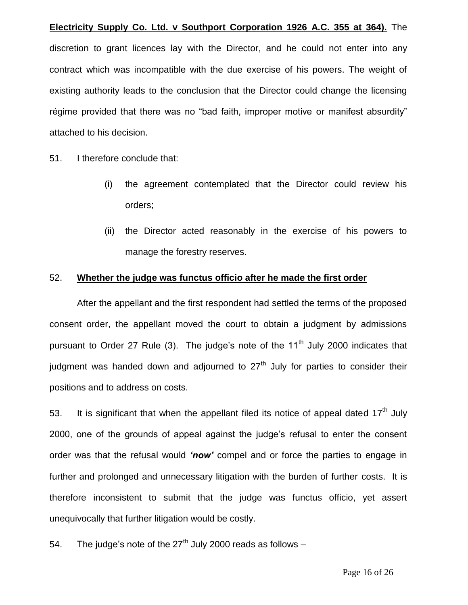**Electricity Supply Co. Ltd. v Southport Corporation 1926 A.C. 355 at 364).** The discretion to grant licences lay with the Director, and he could not enter into any contract which was incompatible with the due exercise of his powers. The weight of existing authority leads to the conclusion that the Director could change the licensing régime provided that there was no "bad faith, improper motive or manifest absurdity" attached to his decision.

51. I therefore conclude that:

- (i) the agreement contemplated that the Director could review his orders;
- (ii) the Director acted reasonably in the exercise of his powers to manage the forestry reserves.

#### 52. **Whether the judge was functus officio after he made the first order**

After the appellant and the first respondent had settled the terms of the proposed consent order, the appellant moved the court to obtain a judgment by admissions pursuant to Order 27 Rule (3). The judge's note of the 11<sup>th</sup> July 2000 indicates that judgment was handed down and adjourned to  $27<sup>th</sup>$  July for parties to consider their positions and to address on costs.

53. It is significant that when the appellant filed its notice of appeal dated  $17<sup>th</sup>$  July 2000, one of the grounds of appeal against the judge's refusal to enter the consent order was that the refusal would *'now'* compel and or force the parties to engage in further and prolonged and unnecessary litigation with the burden of further costs. It is therefore inconsistent to submit that the judge was functus officio, yet assert unequivocally that further litigation would be costly.

54. The judge's note of the  $27<sup>th</sup>$  July 2000 reads as follows –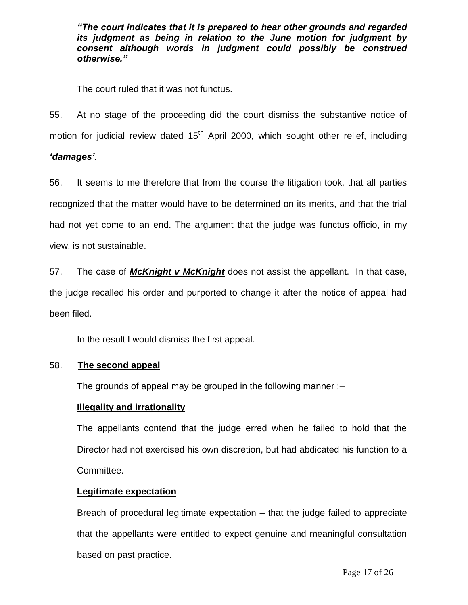*"The court indicates that it is prepared to hear other grounds and regarded its judgment as being in relation to the June motion for judgment by consent although words in judgment could possibly be construed otherwise."*

The court ruled that it was not functus.

55. At no stage of the proceeding did the court dismiss the substantive notice of motion for judicial review dated  $15<sup>th</sup>$  April 2000, which sought other relief, including *'damages'.*

56. It seems to me therefore that from the course the litigation took, that all parties recognized that the matter would have to be determined on its merits, and that the trial had not yet come to an end. The argument that the judge was functus officio, in my view, is not sustainable.

57. The case of *McKnight v McKnight* does not assist the appellant. In that case, the judge recalled his order and purported to change it after the notice of appeal had been filed.

In the result I would dismiss the first appeal.

#### 58. **The second appeal**

The grounds of appeal may be grouped in the following manner :–

#### **Illegality and irrationality**

The appellants contend that the judge erred when he failed to hold that the Director had not exercised his own discretion, but had abdicated his function to a Committee.

#### **Legitimate expectation**

Breach of procedural legitimate expectation – that the judge failed to appreciate that the appellants were entitled to expect genuine and meaningful consultation based on past practice.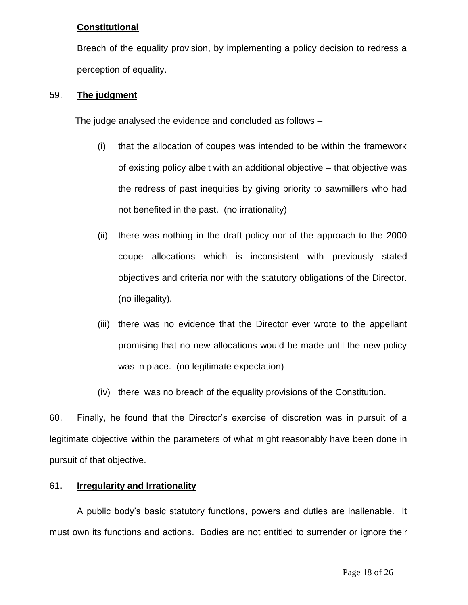# **Constitutional**

Breach of the equality provision, by implementing a policy decision to redress a perception of equality.

## 59. **The judgment**

The judge analysed the evidence and concluded as follows –

- (i) that the allocation of coupes was intended to be within the framework of existing policy albeit with an additional objective – that objective was the redress of past inequities by giving priority to sawmillers who had not benefited in the past. (no irrationality)
- (ii) there was nothing in the draft policy nor of the approach to the 2000 coupe allocations which is inconsistent with previously stated objectives and criteria nor with the statutory obligations of the Director. (no illegality).
- (iii) there was no evidence that the Director ever wrote to the appellant promising that no new allocations would be made until the new policy was in place. (no legitimate expectation)
- (iv) there was no breach of the equality provisions of the Constitution.

60. Finally, he found that the Director's exercise of discretion was in pursuit of a legitimate objective within the parameters of what might reasonably have been done in pursuit of that objective.

# 61**. Irregularity and Irrationality**

A public body's basic statutory functions, powers and duties are inalienable. It must own its functions and actions. Bodies are not entitled to surrender or ignore their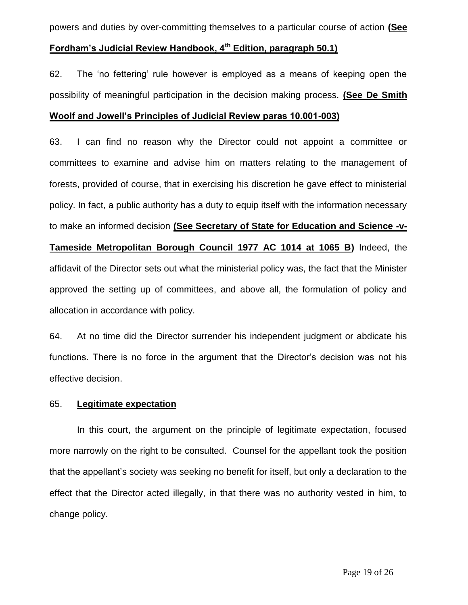powers and duties by over-committing themselves to a particular course of action **(See** 

# **Fordham's Judicial Review Handbook, 4th Edition, paragraph 50.1)**

62. The 'no fettering' rule however is employed as a means of keeping open the possibility of meaningful participation in the decision making process. **(See De Smith Woolf and Jowell's Principles of Judicial Review paras 10.001-003)**

63. I can find no reason why the Director could not appoint a committee or committees to examine and advise him on matters relating to the management of forests, provided of course, that in exercising his discretion he gave effect to ministerial policy. In fact, a public authority has a duty to equip itself with the information necessary to make an informed decision **(See Secretary of State for Education and Science -v-Tameside Metropolitan Borough Council 1977 AC 1014 at 1065 B)** Indeed, the affidavit of the Director sets out what the ministerial policy was, the fact that the Minister approved the setting up of committees, and above all, the formulation of policy and allocation in accordance with policy.

64. At no time did the Director surrender his independent judgment or abdicate his functions. There is no force in the argument that the Director's decision was not his effective decision.

#### 65. **Legitimate expectation**

In this court, the argument on the principle of legitimate expectation, focused more narrowly on the right to be consulted. Counsel for the appellant took the position that the appellant's society was seeking no benefit for itself, but only a declaration to the effect that the Director acted illegally, in that there was no authority vested in him, to change policy.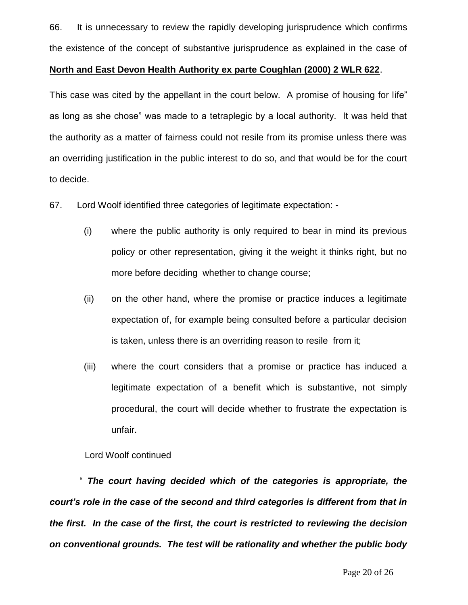66. It is unnecessary to review the rapidly developing jurisprudence which confirms the existence of the concept of substantive jurisprudence as explained in the case of

#### **North and East Devon Health Authority ex parte Coughlan (2000) 2 WLR 622**.

This case was cited by the appellant in the court below. A promise of housing for life" as long as she chose" was made to a tetraplegic by a local authority. It was held that the authority as a matter of fairness could not resile from its promise unless there was an overriding justification in the public interest to do so, and that would be for the court to decide.

67. Lord Woolf identified three categories of legitimate expectation: -

- (i) where the public authority is only required to bear in mind its previous policy or other representation, giving it the weight it thinks right, but no more before deciding whether to change course;
- (ii) on the other hand, where the promise or practice induces a legitimate expectation of, for example being consulted before a particular decision is taken, unless there is an overriding reason to resile from it;
- (iii) where the court considers that a promise or practice has induced a legitimate expectation of a benefit which is substantive, not simply procedural, the court will decide whether to frustrate the expectation is unfair.

Lord Woolf continued

" *The court having decided which of the categories is appropriate, the court's role in the case of the second and third categories is different from that in the first. In the case of the first, the court is restricted to reviewing the decision on conventional grounds. The test will be rationality and whether the public body*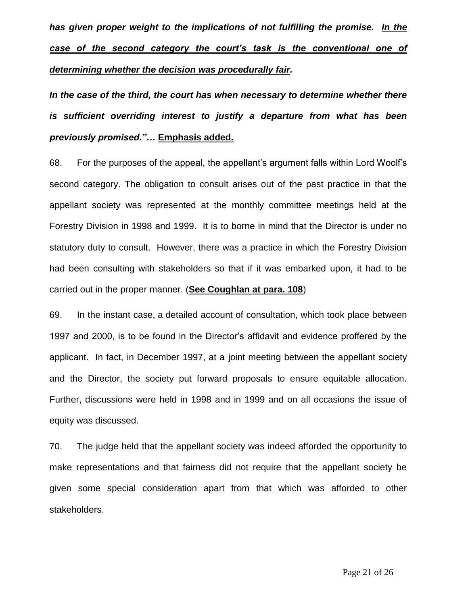*has given proper weight to the implications of not fulfilling the promise. In the case of the second category the court's task is the conventional one of determining whether the decision was procedurally fair.* 

In the case of the third, the court has when necessary to determine whether there *is sufficient overriding interest to justify a departure from what has been previously promised."…* **Emphasis added.**

68. For the purposes of the appeal, the appellant's argument falls within Lord Woolf's second category. The obligation to consult arises out of the past practice in that the appellant society was represented at the monthly committee meetings held at the Forestry Division in 1998 and 1999. It is to borne in mind that the Director is under no statutory duty to consult. However, there was a practice in which the Forestry Division had been consulting with stakeholders so that if it was embarked upon, it had to be carried out in the proper manner. (**See Coughlan at para. 108**)

69. In the instant case, a detailed account of consultation, which took place between 1997 and 2000, is to be found in the Director's affidavit and evidence proffered by the applicant. In fact, in December 1997, at a joint meeting between the appellant society and the Director, the society put forward proposals to ensure equitable allocation. Further, discussions were held in 1998 and in 1999 and on all occasions the issue of equity was discussed.

70. The judge held that the appellant society was indeed afforded the opportunity to make representations and that fairness did not require that the appellant society be given some special consideration apart from that which was afforded to other stakeholders.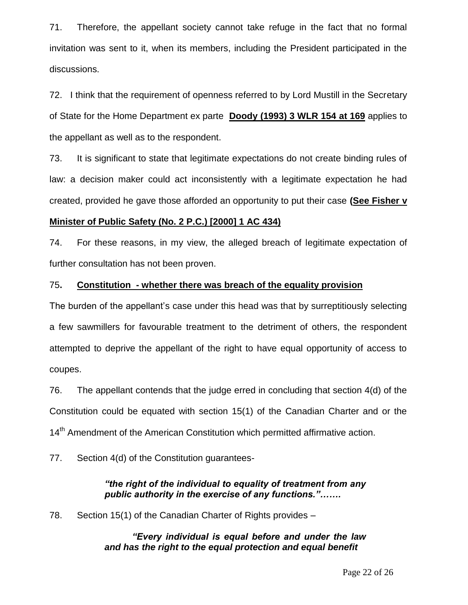71. Therefore, the appellant society cannot take refuge in the fact that no formal invitation was sent to it, when its members, including the President participated in the discussions.

72. I think that the requirement of openness referred to by Lord Mustill in the Secretary of State for the Home Department ex parte **Doody (1993) 3 WLR 154 at 169** applies to the appellant as well as to the respondent.

73. It is significant to state that legitimate expectations do not create binding rules of law: a decision maker could act inconsistently with a legitimate expectation he had created, provided he gave those afforded an opportunity to put their case **(See Fisher v** 

# **Minister of Public Safety (No. 2 P.C.) [2000] 1 AC 434)**

74. For these reasons, in my view, the alleged breach of legitimate expectation of further consultation has not been proven.

# 75**. Constitution - whether there was breach of the equality provision**

The burden of the appellant's case under this head was that by surreptitiously selecting a few sawmillers for favourable treatment to the detriment of others, the respondent attempted to deprive the appellant of the right to have equal opportunity of access to coupes.

76. The appellant contends that the judge erred in concluding that section 4(d) of the Constitution could be equated with section 15(1) of the Canadian Charter and or the 14<sup>th</sup> Amendment of the American Constitution which permitted affirmative action.

77. Section 4(d) of the Constitution guarantees-

# *"the right of the individual to equality of treatment from any public authority in the exercise of any functions."…….*

78. Section 15(1) of the Canadian Charter of Rights provides –

# *"Every individual is equal before and under the law and has the right to the equal protection and equal benefit*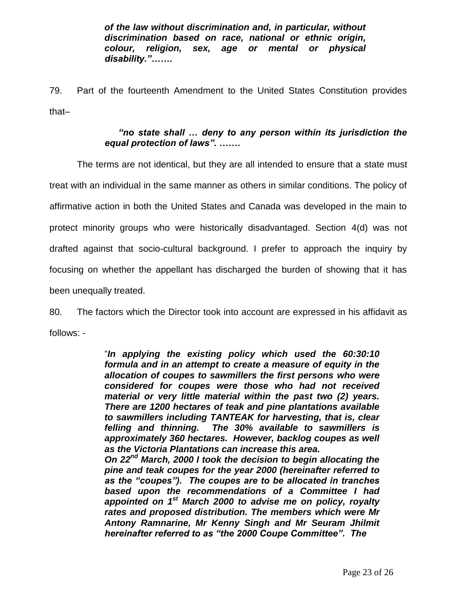*of the law without discrimination and, in particular, without discrimination based on race, national or ethnic origin, colour, religion, sex, age or mental or physical disability."…….*

79. Part of the fourteenth Amendment to the United States Constitution provides that–

## *"no state shall … deny to any person within its jurisdiction the equal protection of laws".* **…….**

The terms are not identical, but they are all intended to ensure that a state must treat with an individual in the same manner as others in similar conditions. The policy of affirmative action in both the United States and Canada was developed in the main to protect minority groups who were historically disadvantaged. Section 4(d) was not drafted against that socio-cultural background. I prefer to approach the inquiry by focusing on whether the appellant has discharged the burden of showing that it has been unequally treated.

80. The factors which the Director took into account are expressed in his affidavit as follows: -

> "*In applying the existing policy which used the 60:30:10 formula and in an attempt to create a measure of equity in the allocation of coupes to sawmillers the first persons who were considered for coupes were those who had not received material or very little material within the past two (2) years. There are 1200 hectares of teak and pine plantations available to sawmillers including TANTEAK for harvesting, that is, clear felling and thinning. The 30% available to sawmillers is approximately 360 hectares. However, backlog coupes as well as the Victoria Plantations can increase this area. On 22nd March, 2000 I took the decision to begin allocating the*

> *pine and teak coupes for the year 2000 (hereinafter referred to as the "coupes"). The coupes are to be allocated in tranches based upon the recommendations of a Committee I had appointed on 1 st March 2000 to advise me on policy, royalty rates and proposed distribution. The members which were Mr Antony Ramnarine, Mr Kenny Singh and Mr Seuram Jhilmit hereinafter referred to as "the 2000 Coupe Committee". The*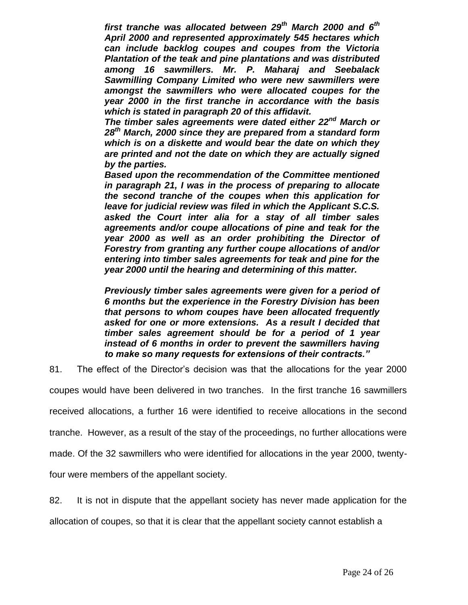*first tranche was allocated between 29th March 2000 and 6th April 2000 and represented approximately 545 hectares which can include backlog coupes and coupes from the Victoria Plantation of the teak and pine plantations and was distributed among 16 sawmillers. Mr. P. Maharaj and Seebalack Sawmilling Company Limited who were new sawmillers were amongst the sawmillers who were allocated coupes for the year 2000 in the first tranche in accordance with the basis which is stated in paragraph 20 of this affidavit.*

*The timber sales agreements were dated either 22nd March or 28th March, 2000 since they are prepared from a standard form which is on a diskette and would bear the date on which they are printed and not the date on which they are actually signed by the parties.*

*Based upon the recommendation of the Committee mentioned in paragraph 21, I was in the process of preparing to allocate the second tranche of the coupes when this application for leave for judicial review was filed in which the Applicant S.C.S. asked the Court inter alia for a stay of all timber sales agreements and/or coupe allocations of pine and teak for the year 2000 as well as an order prohibiting the Director of Forestry from granting any further coupe allocations of and/or entering into timber sales agreements for teak and pine for the year 2000 until the hearing and determining of this matter.*

*Previously timber sales agreements were given for a period of 6 months but the experience in the Forestry Division has been that persons to whom coupes have been allocated frequently asked for one or more extensions. As a result I decided that timber sales agreement should be for a period of 1 year instead of 6 months in order to prevent the sawmillers having to make so many requests for extensions of their contracts."*

81. The effect of the Director's decision was that the allocations for the year 2000

coupes would have been delivered in two tranches. In the first tranche 16 sawmillers

received allocations, a further 16 were identified to receive allocations in the second

tranche. However, as a result of the stay of the proceedings, no further allocations were

made. Of the 32 sawmillers who were identified for allocations in the year 2000, twenty-

four were members of the appellant society.

82. It is not in dispute that the appellant society has never made application for the

allocation of coupes, so that it is clear that the appellant society cannot establish a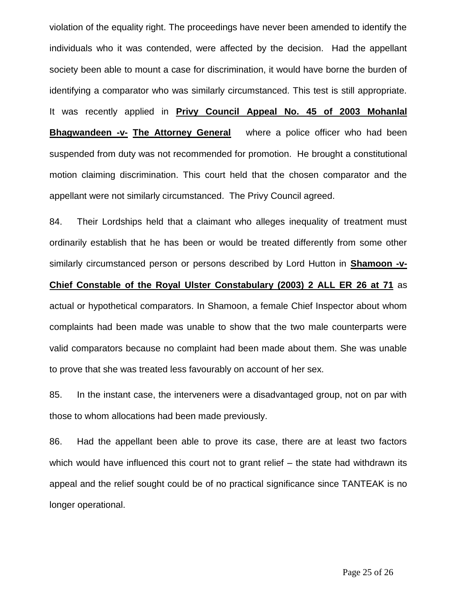violation of the equality right. The proceedings have never been amended to identify the individuals who it was contended, were affected by the decision. Had the appellant society been able to mount a case for discrimination, it would have borne the burden of identifying a comparator who was similarly circumstanced. This test is still appropriate. It was recently applied in **Privy Council Appeal No. 45 of 2003 Mohanlal Bhagwandeen -v- The Attorney General** where a police officer who had been suspended from duty was not recommended for promotion. He brought a constitutional motion claiming discrimination. This court held that the chosen comparator and the appellant were not similarly circumstanced. The Privy Council agreed.

84. Their Lordships held that a claimant who alleges inequality of treatment must ordinarily establish that he has been or would be treated differently from some other similarly circumstanced person or persons described by Lord Hutton in **Shamoon -v-**

# **Chief Constable of the Royal Ulster Constabulary (2003) 2 ALL ER 26 at 71** as actual or hypothetical comparators. In Shamoon, a female Chief Inspector about whom complaints had been made was unable to show that the two male counterparts were valid comparators because no complaint had been made about them. She was unable

to prove that she was treated less favourably on account of her sex.

85. In the instant case, the interveners were a disadvantaged group, not on par with those to whom allocations had been made previously.

86. Had the appellant been able to prove its case, there are at least two factors which would have influenced this court not to grant relief – the state had withdrawn its appeal and the relief sought could be of no practical significance since TANTEAK is no longer operational.